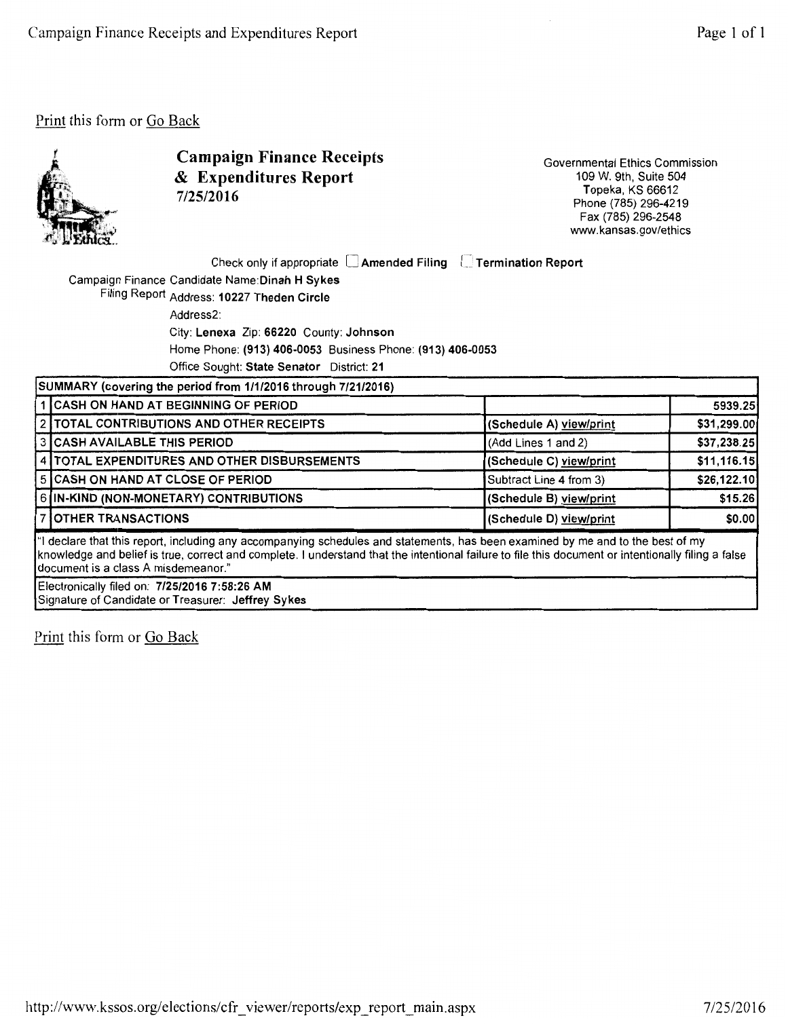

Campaign Finance Receipts & Expenditures Report 7/25/2016

Governmental Ethics Commission 109 W. 9th, Suite 504 Topeka, KS 66612 Phone (785) 296-4219 Fax (785) 296-2548 www.kansas.gov/ethics

| Check only if appropriate □ Amended Filing □ Termination Report |  |  |
|-----------------------------------------------------------------|--|--|
|-----------------------------------------------------------------|--|--|

Campaign Finance Candidate Name:Dinah H Sykes

Filing Report Address: 10227 Theden Circle

Address2:

City: Lenexa Zip: 66220 County: Johnson

Home Phone: (913) 406-0053 Business Phone: (913) 406-0053

Office Sought: State Senator District: 21

|                                                                                                                                                                                                                                                                                                                               | SUMMARY (covering the period from 1/1/2016 through 7/21/2016) |                         |              |  |  |
|-------------------------------------------------------------------------------------------------------------------------------------------------------------------------------------------------------------------------------------------------------------------------------------------------------------------------------|---------------------------------------------------------------|-------------------------|--------------|--|--|
|                                                                                                                                                                                                                                                                                                                               | 1 CASH ON HAND AT BEGINNING OF PERIOD                         |                         | 5939.25      |  |  |
|                                                                                                                                                                                                                                                                                                                               | 2 TOTAL CONTRIBUTIONS AND OTHER RECEIPTS                      | (Schedule A) view/print | \$31,299.00  |  |  |
|                                                                                                                                                                                                                                                                                                                               | 3 CASH AVAILABLE THIS PERIOD                                  | (Add Lines 1 and 2)     | \$37,238.25  |  |  |
|                                                                                                                                                                                                                                                                                                                               | 4 TOTAL EXPENDITURES AND OTHER DISBURSEMENTS                  | (Schedule C) view/print | \$11,116.15] |  |  |
|                                                                                                                                                                                                                                                                                                                               | 5 CASH ON HAND AT CLOSE OF PERIOD                             | Subtract Line 4 from 3) | \$26,122.10] |  |  |
|                                                                                                                                                                                                                                                                                                                               | 6 IN-KIND (NON-MONETARY) CONTRIBUTIONS                        | (Schedule B) view/print | \$15.26      |  |  |
|                                                                                                                                                                                                                                                                                                                               | <b>7 OTHER TRANSACTIONS</b>                                   | (Schedule D) view/print | \$0.00       |  |  |
| "I declare that this report, including any accompanying schedules and statements, has been examined by me and to the best of my<br>knowledge and belief is true, correct and complete. I understand that the intentional failure to file this document or intentionally filing a false<br>document is a class A misdemeanor." |                                                               |                         |              |  |  |
|                                                                                                                                                                                                                                                                                                                               | Electronically filed on: 7/25/2016 7:58:26 AM                 |                         |              |  |  |

Signature of Candidate or Treasurer: Jeffrey Sykes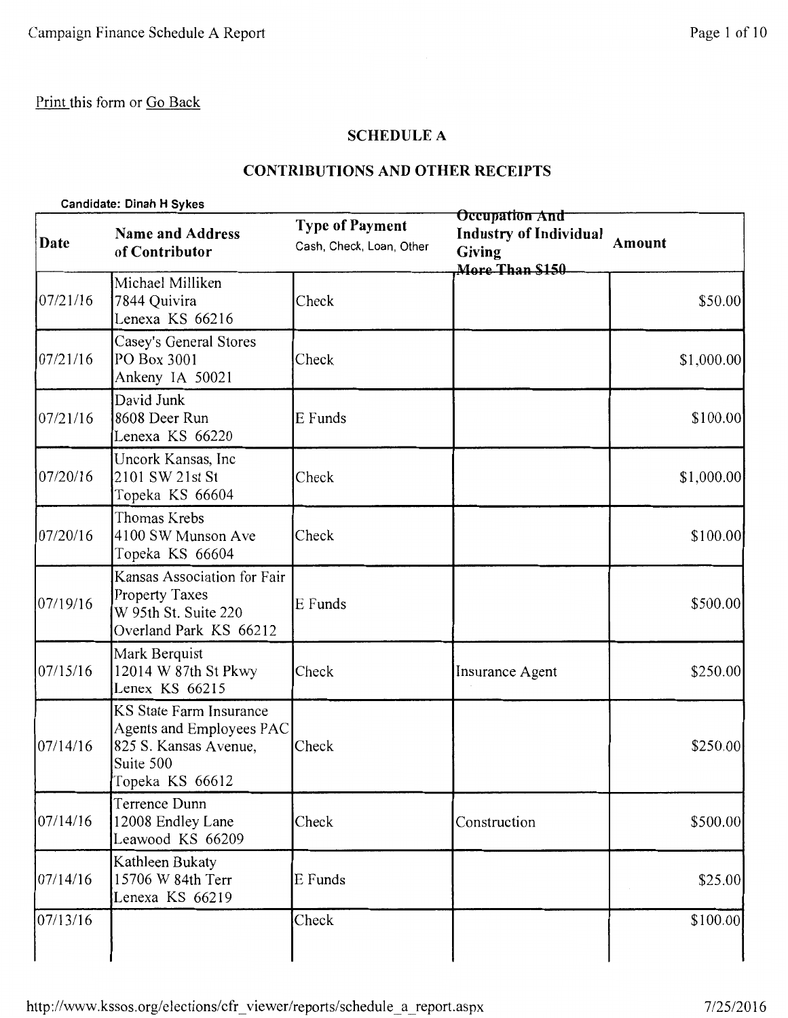### **SCHEDULE A**

## **CONTRIBUTIONS AND OTHER RECEIPTS**

| Candidate: Dinah H Sykes |                                                                                                              |                                                    |                                                                                            |            |
|--------------------------|--------------------------------------------------------------------------------------------------------------|----------------------------------------------------|--------------------------------------------------------------------------------------------|------------|
| Date                     | <b>Name and Address</b><br>of Contributor                                                                    | <b>Type of Payment</b><br>Cash, Check, Loan, Other | <b>Occupation And</b><br><b>Industry of Individual</b><br><b>Giving</b><br>More Than \$150 | Amount     |
| 07/21/16                 | Michael Milliken<br>7844 Quivira<br>Lenexa KS 66216                                                          | Check                                              |                                                                                            | \$50.00    |
| 07/21/16                 | Casey's General Stores<br>PO Box 3001<br>Ankeny IA 50021                                                     | Check                                              |                                                                                            | \$1,000.00 |
| 07/21/16                 | David Junk<br>8608 Deer Run<br>Lenexa KS 66220                                                               | E Funds                                            |                                                                                            | \$100.00   |
| 07/20/16                 | Uncork Kansas, Inc<br>2101 SW 21st St<br>Topeka KS 66604                                                     | Check                                              |                                                                                            | \$1,000.00 |
| 07/20/16                 | Thomas Krebs<br>4100 SW Munson Ave<br>Topeka KS 66604                                                        | Check                                              |                                                                                            | \$100.00   |
| 07/19/16                 | Kansas Association for Fair<br><b>Property Taxes</b><br>W 95th St. Suite 220<br>Overland Park KS 66212       | E Funds                                            |                                                                                            | \$500.00   |
| 07/15/16                 | Mark Berquist<br>12014 W 87th St Pkwy<br>Lenex KS 66215                                                      | Check                                              | Insurance Agent                                                                            | \$250.00   |
| 07/14/16                 | KS State Farm Insurance<br>Agents and Employees PAC<br>825 S. Kansas Avenue,<br>Suite 500<br>Topeka KS 66612 | Check                                              |                                                                                            | \$250.00   |
| 07/14/16                 | Terrence Dunn<br>12008 Endley Lane<br>Leawood KS 66209                                                       | Check                                              | Construction                                                                               | \$500.00   |
| 07/14/16                 | Kathleen Bukaty<br>15706 W 84th Terr<br>Lenexa KS 66219                                                      | E Funds                                            |                                                                                            | \$25.00    |
| 07/13/16                 |                                                                                                              | Check                                              |                                                                                            | \$100.00   |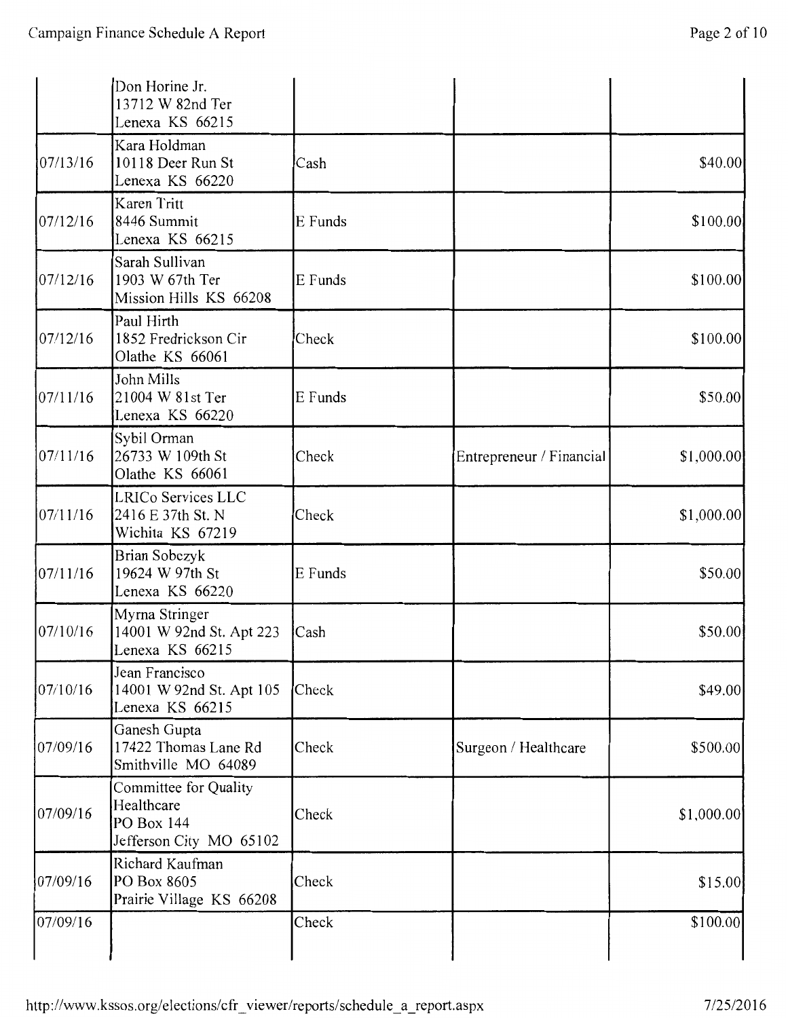|          | Don Horine Jr.<br>13712 W 82nd Ter<br>Lenexa KS 66215                        |         |                          |             |
|----------|------------------------------------------------------------------------------|---------|--------------------------|-------------|
| 07/13/16 | Kara Holdman<br>10118 Deer Run St<br>Lenexa KS 66220                         | Cash    |                          | \$40.00     |
| 07/12/16 | Karen Tritt<br>8446 Summit<br>Lenexa KS 66215                                | E Funds |                          | \$100.00    |
| 07/12/16 | Sarah Sullivan<br>1903 W 67th Ter<br>Mission Hills KS 66208                  | E Funds |                          | \$100.00    |
| 07/12/16 | Paul Hirth<br>1852 Fredrickson Cir<br>Olathe KS 66061                        | Check   |                          | \$100.00    |
| 07/11/16 | John Mills<br>21004 W 81st Ter<br>Lenexa KS 66220                            | E Funds |                          | \$50.00     |
| 07/11/16 | Sybil Orman<br>26733 W 109th St<br>Olathe KS 66061                           | Check   | Entrepreneur / Financial | \$1,000.00  |
| 07/11/16 | LRICo Services LLC<br>2416 E 37th St. N<br>Wichita KS 67219                  | Check   |                          | \$1,000.00  |
| 07/11/16 | Brian Sobczyk<br>19624 W 97th St<br>Lenexa KS 66220                          | E Funds |                          | \$50.00     |
| 07/10/16 | Myrna Stringer<br>14001 W 92nd St. Apt 223<br>Lenexa KS 66215                | Cash    |                          | \$50.00     |
| 07/10/16 | Jean Francisco<br>14001 W 92nd St. Apt 105<br>Lenexa KS 66215                | Check   |                          | \$49.00     |
| 07/09/16 | Ganesh Gupta<br>17422 Thomas Lane Rd<br>Smithville MO 64089                  | Check   | Surgeon / Healthcare     | \$500.00    |
| 07/09/16 | Committee for Quality<br>Healthcare<br>PO Box 144<br>Jefferson City MO 65102 | Check   |                          | \$1,000.00] |
| 07/09/16 | Richard Kaufman<br>PO Box 8605<br>Prairie Village KS 66208                   | Check   |                          | \$15.00     |
| 07/09/16 |                                                                              | Check   |                          | \$100.00    |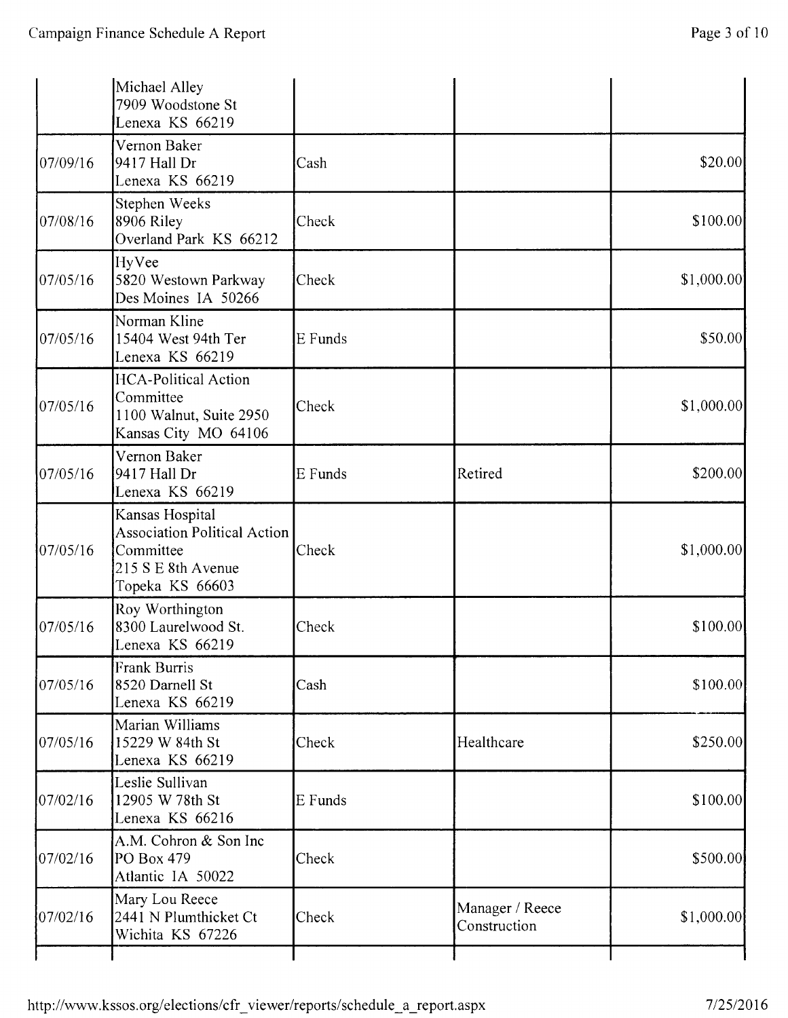|          | Michael Alley<br>7909 Woodstone St<br>Lenexa KS 66219                                                        |         |                                 |             |
|----------|--------------------------------------------------------------------------------------------------------------|---------|---------------------------------|-------------|
| 07/09/16 | Vernon Baker<br>9417 Hall Dr<br>Lenexa KS 66219                                                              | Cash    |                                 | \$20.00     |
| 07/08/16 | Stephen Weeks<br>8906 Riley<br>Overland Park KS 66212                                                        | Check   |                                 | \$100.00]   |
| 07/05/16 | HyVee<br>5820 Westown Parkway<br>Des Moines IA 50266                                                         | Check   |                                 | \$1,000.00] |
| 07/05/16 | Norman Kline<br>15404 West 94th Ter<br>Lenexa KS 66219                                                       | E Funds |                                 | \$50.00     |
| 07/05/16 | <b>HCA-Political Action</b><br>Committee<br>1100 Walnut, Suite 2950<br>Kansas City MO 64106                  | Check   |                                 | \$1,000.00  |
| 07/05/16 | Vernon Baker<br>9417 Hall Dr<br>Lenexa KS 66219                                                              | E Funds | Retired                         | \$200.00    |
| 07/05/16 | Kansas Hospital<br><b>Association Political Action</b><br>Committee<br>215 S E 8th Avenue<br>Topeka KS 66603 | Check   |                                 | \$1,000.00  |
| 07/05/16 | Roy Worthington<br>8300 Laurelwood St.<br>Lenexa KS 66219                                                    | Check   |                                 | \$100.00]   |
| 07/05/16 | <b>Frank Burris</b><br>8520 Darnell St<br>Lenexa KS 66219                                                    | Cash    |                                 | \$100.00    |
| 07/05/16 | Marian Williams<br>15229 W 84th St<br>Lenexa KS 66219                                                        | Check   | Healthcare                      | \$250.00    |
| 07/02/16 | Leslie Sullivan<br>12905 W 78th St<br>Lenexa KS 66216                                                        | E Funds |                                 | \$100.00]   |
| 07/02/16 | A.M. Cohron & Son Inc<br>PO Box 479<br>Atlantic IA 50022                                                     | Check   |                                 | \$500.00    |
| 07/02/16 | Mary Lou Reece<br>2441 N Plumthicket Ct<br>Wichita KS 67226                                                  | Check   | Manager / Reece<br>Construction | \$1,000.00  |
|          |                                                                                                              |         |                                 |             |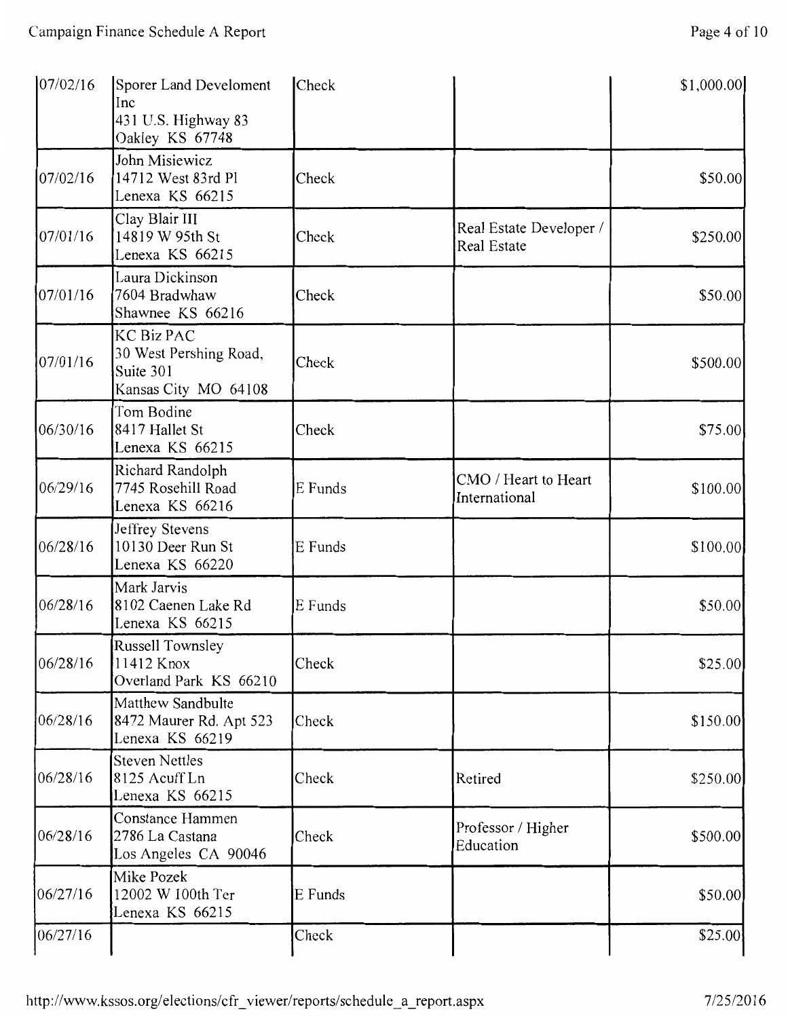| 07/02/16 | Sporer Land Develoment<br>Inc<br>431 U.S. Highway 83<br>Oakley KS 67748          | Check   |                                        | \$1,000.00 |
|----------|----------------------------------------------------------------------------------|---------|----------------------------------------|------------|
| 07/02/16 | John Misiewicz<br>14712 West 83rd Pl<br>Lenexa KS 66215                          | Check   |                                        | \$50.00    |
| 07/01/16 | Clay Blair III<br>14819 W 95th St<br>Lenexa KS 66215                             | Check   | Real Estate Developer /<br>Real Estate | \$250.00   |
| 07/01/16 | Laura Dickinson<br>7604 Bradwhaw<br>Shawnee KS 66216                             | Check   |                                        | \$50.00    |
| 07/01/16 | <b>KC Biz PAC</b><br>30 West Pershing Road,<br>Suite 301<br>Kansas City MO 64108 | Check   |                                        | \$500.00   |
| 06/30/16 | Tom Bodine<br>8417 Hallet St<br>Lenexa KS 66215                                  | Check   |                                        | \$75.00    |
| 06/29/16 | Richard Randolph<br>7745 Rosehill Road<br>Lenexa KS 66216                        | E Funds | CMO / Heart to Heart<br>International  | \$100.00   |
| 06/28/16 | Jeffrey Stevens<br>10130 Deer Run St<br>Lenexa KS 66220                          | E Funds |                                        | \$100.00   |
| 06/28/16 | Mark Jarvis<br>8102 Caenen Lake Rd<br>Lenexa KS 66215                            | E Funds |                                        | \$50.00    |
| 06/28/16 | Russell Townsley<br>11412 Knox<br>Overland Park KS 66210                         | Check   |                                        | \$25.00    |
| 06/28/16 | Matthew Sandbulte<br>8472 Maurer Rd. Apt 523<br>Lenexa KS 66219                  | Check   |                                        | \$150.00   |
| 06/28/16 | <b>Steven Nettles</b><br>8125 Acuff Ln<br>Lenexa KS 66215                        | Check   | Retired                                | \$250.00   |
| 06/28/16 | Constance Hammen<br>2786 La Castana<br>Los Angeles CA 90046                      | Check   | Professor / Higher<br>Education        | \$500.00   |
| 06/27/16 | Mike Pozek<br>12002 W 100th Ter<br>Lenexa KS 66215                               | E Funds |                                        | \$50.00    |
| 06/27/16 |                                                                                  | Check   |                                        | \$25.00    |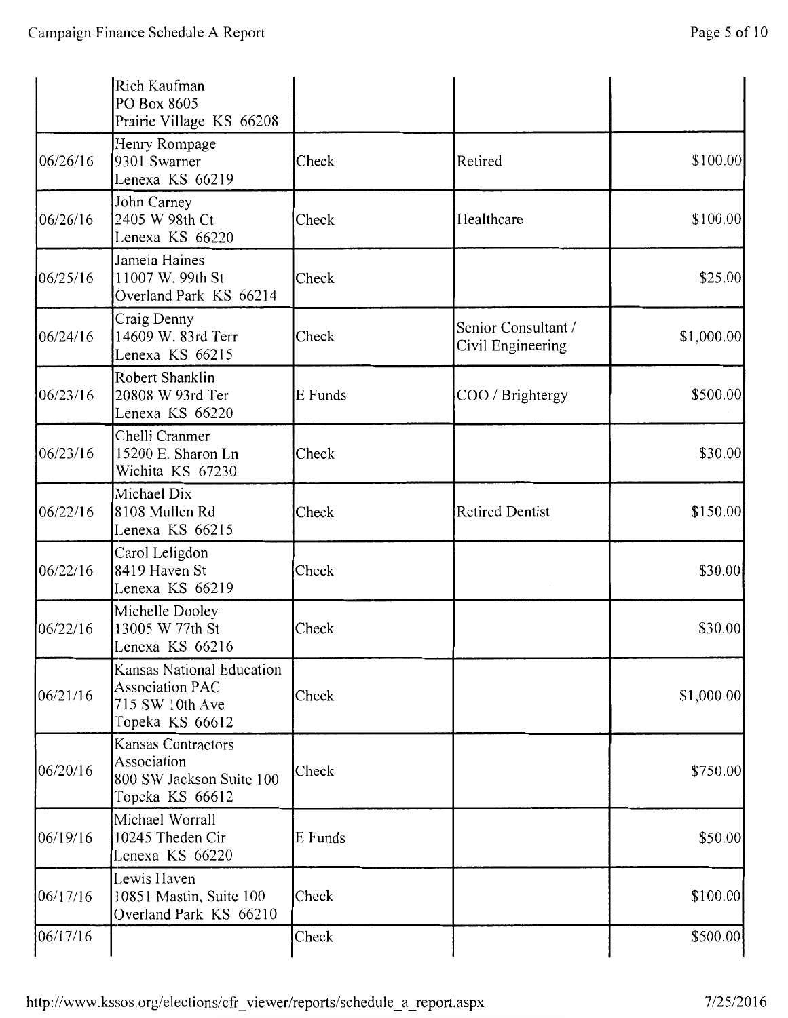|          | Rich Kaufman<br>PO Box 8605<br>Prairie Village KS 66208                                   |         |                                          |            |
|----------|-------------------------------------------------------------------------------------------|---------|------------------------------------------|------------|
| 06/26/16 | Henry Rompage<br>9301 Swarner<br>Lenexa KS 66219                                          | Check   | Retired                                  | \$100.00   |
| 06/26/16 | John Carney<br>2405 W 98th Ct<br>Lenexa KS 66220                                          | Check   | Healthcare                               | \$100.00   |
| 06/25/16 | Jameia Haines<br>11007 W. 99th St<br>Overland Park KS 66214                               | Check   |                                          | \$25.00    |
| 06/24/16 | Craig Denny<br>14609 W. 83rd Terr<br>Lenexa KS 66215                                      | Check   | Senior Consultant /<br>Civil Engineering | \$1,000.00 |
| 06/23/16 | Robert Shanklin<br>20808 W 93rd Ter<br>Lenexa KS 66220                                    | E Funds | COO / Brightergy                         | \$500.00   |
| 06/23/16 | Chelli Cranmer<br>15200 E. Sharon Ln<br>Wichita KS 67230                                  | Check   |                                          | \$30.00    |
| 06/22/16 | Michael Dix<br>8108 Mullen Rd<br>Lenexa KS 66215                                          | Check   | <b>Retired Dentist</b>                   | \$150.00   |
| 06/22/16 | Carol Leligdon<br>8419 Haven St<br>Lenexa KS 66219                                        | Check   |                                          | \$30.00    |
| 06/22/16 | Michelle Dooley<br>13005 W 77th St<br>Lenexa KS 66216                                     | Check   |                                          | \$30.00    |
| 06/21/16 | Kansas National Education<br><b>Association PAC</b><br>715 SW 10th Ave<br>Topeka KS 66612 | Check   |                                          | \$1,000.00 |
| 06/20/16 | Kansas Contractors<br>Association<br>800 SW Jackson Suite 100<br>Topeka KS 66612          | Check   |                                          | \$750.00   |
| 06/19/16 | Michael Worrall<br>10245 Theden Cir<br>Lenexa KS 66220                                    | E Funds |                                          | \$50.00    |
| 06/17/16 | Lewis Haven<br>10851 Mastin, Suite 100<br>Overland Park KS 66210                          | Check   |                                          | \$100.00]  |
| 06/17/16 |                                                                                           | Check   |                                          | \$500.00   |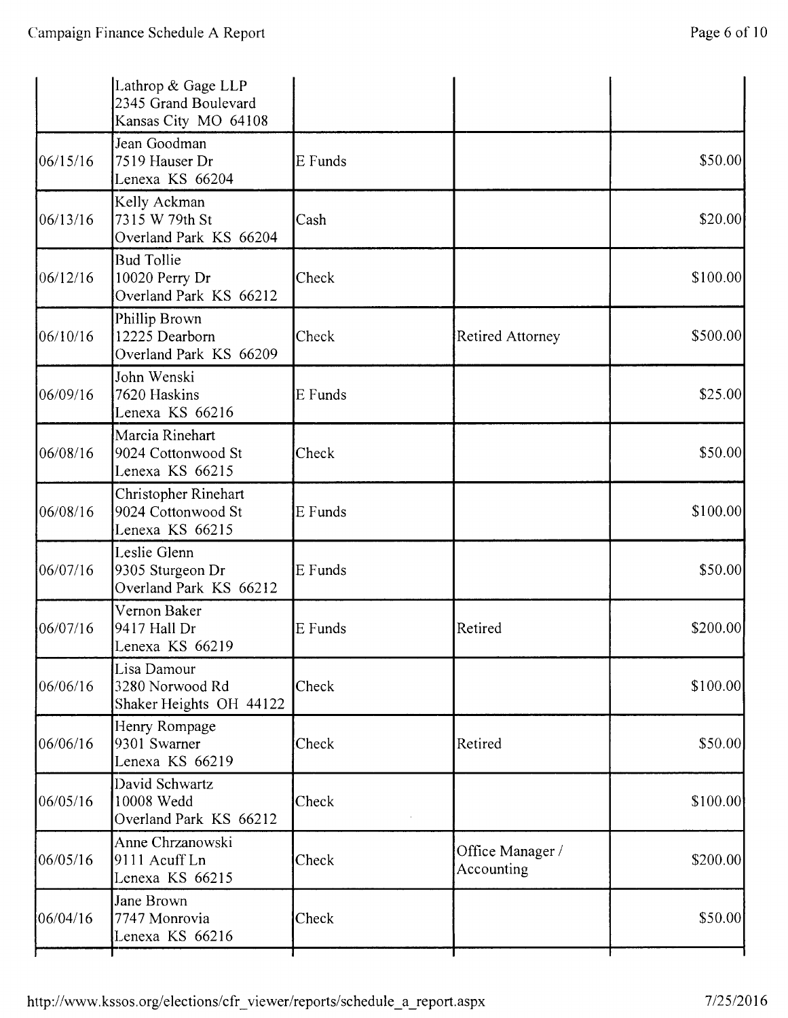|          | Lathrop & Gage LLP<br>2345 Grand Boulevard<br>Kansas City MO 64108 |         |                                |           |
|----------|--------------------------------------------------------------------|---------|--------------------------------|-----------|
| 06/15/16 | Jean Goodman<br>7519 Hauser Dr<br>Lenexa KS 66204                  | E Funds |                                | \$50.00   |
| 06/13/16 | Kelly Ackman<br>7315 W 79th St<br>Overland Park KS 66204           | Cash    |                                | \$20.00   |
| 06/12/16 | <b>Bud Tollie</b><br>10020 Perry Dr<br>Overland Park KS 66212      | Check   |                                | \$100.00  |
| 06/10/16 | Phillip Brown<br>12225 Dearborn<br>Overland Park KS 66209          | Check   | <b>Retired Attorney</b>        | \$500.00  |
| 06/09/16 | John Wenski<br>7620 Haskins<br>Lenexa KS 66216                     | E Funds |                                | \$25.00   |
| 06/08/16 | Marcia Rinehart<br>9024 Cottonwood St<br>Lenexa KS 66215           | Check   |                                | \$50.00   |
| 06/08/16 | Christopher Rinehart<br>9024 Cottonwood St<br>Lenexa KS 66215      | E Funds |                                | \$100.00  |
| 06/07/16 | Leslie Glenn<br>9305 Sturgeon Dr<br>Overland Park KS 66212         | E Funds |                                | \$50.00   |
| 06/07/16 | Vernon Baker<br>9417 Hall Dr<br>Lenexa KS 66219                    | E Funds | Retired                        | \$200.00  |
| 06/06/16 | Lisa Damour<br>3280 Norwood Rd<br>Shaker Heights OH 44122          | Check   |                                | \$100.00  |
| 06/06/16 | Henry Rompage<br>9301 Swarner<br>Lenexa KS 66219                   | Check   | Retired                        | \$50.00   |
| 06/05/16 | David Schwartz<br>10008 Wedd<br>Overland Park KS 66212             | Check   |                                | \$100.00  |
| 06/05/16 | Anne Chrzanowski<br>9111 Acuff Ln<br>Lenexa KS 66215               | Check   | Office Manager /<br>Accounting | \$200.00] |
| 06/04/16 | Jane Brown<br>7747 Monrovia<br>Lenexa KS 66216                     | Check   |                                | \$50.00   |
|          |                                                                    |         |                                |           |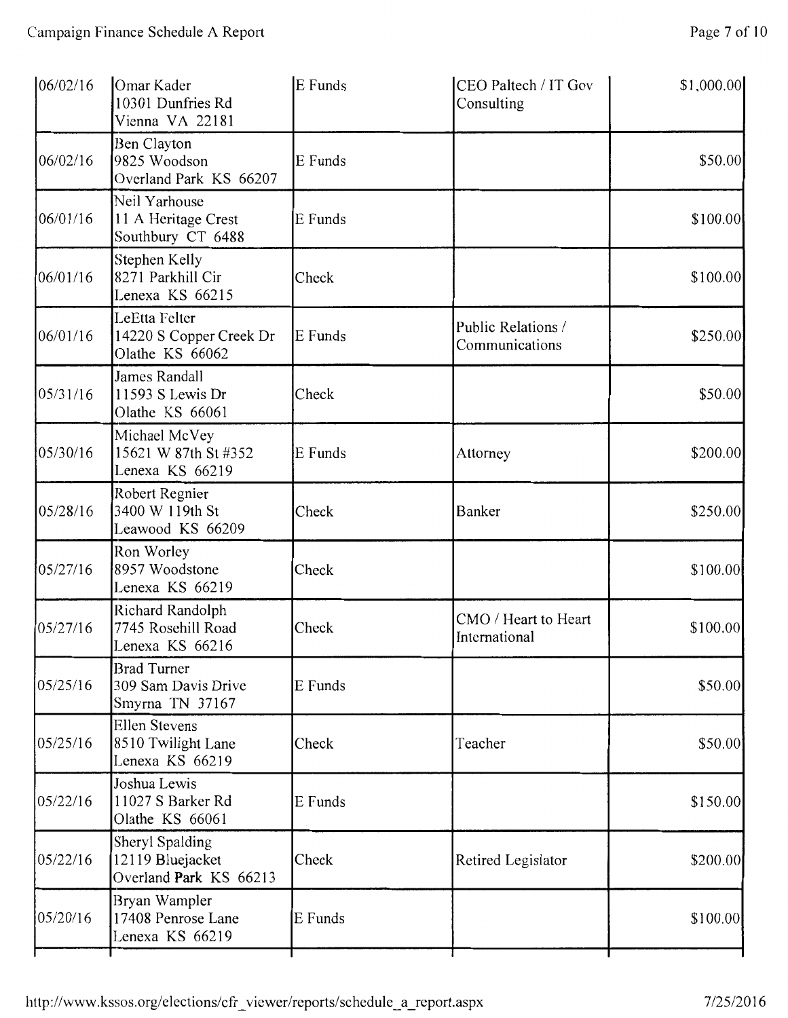| 06/02/16 | Omar Kader<br>10301 Dunfries Rd<br>Vienna VA 22181            | E Funds | CEO Paltech / IT Gov<br>Consulting    | \$1,000.00 |
|----------|---------------------------------------------------------------|---------|---------------------------------------|------------|
| 06/02/16 | Ben Clayton<br>9825 Woodson<br>Overland Park KS 66207         | E Funds |                                       | \$50.00    |
| 06/01/16 | Neil Yarhouse<br>11 A Heritage Crest<br>Southbury CT 6488     | E Funds |                                       | \$100.00   |
| 06/01/16 | Stephen Kelly<br>8271 Parkhill Cir<br>Lenexa KS 66215         | Check   |                                       | \$100.00   |
| 06/01/16 | LeEtta Felter<br>14220 S Copper Creek Dr<br>Olathe KS 66062   | E Funds | Public Relations /<br>Communications  | \$250.00   |
| 05/31/16 | James Randall<br>11593 S Lewis Dr<br>Olathe KS 66061          | Check   |                                       | \$50.00    |
| 05/30/16 | Michael McVey<br>15621 W 87th St #352<br>Lenexa KS 66219      | E Funds | Attorney                              | \$200.00   |
| 05/28/16 | Robert Regnier<br>3400 W 119th St<br>Leawood KS 66209         | Check   | Banker                                | \$250.00   |
| 05/27/16 | Ron Worley<br>8957 Woodstone<br>Lenexa KS 66219               | Check   |                                       | \$100.00   |
| 05/27/16 | Richard Randolph<br>7745 Rosehill Road<br>Lenexa KS 66216     | Check   | CMO / Heart to Heart<br>International | \$100.00   |
| 05/25/16 | <b>Brad Turner</b><br>309 Sam Davis Drive<br>Smyrna TN 37167  | E Funds |                                       | \$50.00    |
| 05/25/16 | <b>Ellen Stevens</b><br>8510 Twilight Lane<br>Lenexa KS 66219 | Check   | Teacher                               | \$50.00    |
| 05/22/16 | Joshua Lewis<br>11027 S Barker Rd<br>Olathe KS 66061          | E Funds |                                       | \$150.00   |
| 05/22/16 | Sheryl Spalding<br>12119 Bluejacket<br>Overland Park KS 66213 | Check   | Retired Legislator                    | \$200.00   |
| 05/20/16 | Bryan Wampler<br>17408 Penrose Lane<br>Lenexa KS 66219        | E Funds |                                       | \$100.00   |
|          |                                                               |         |                                       |            |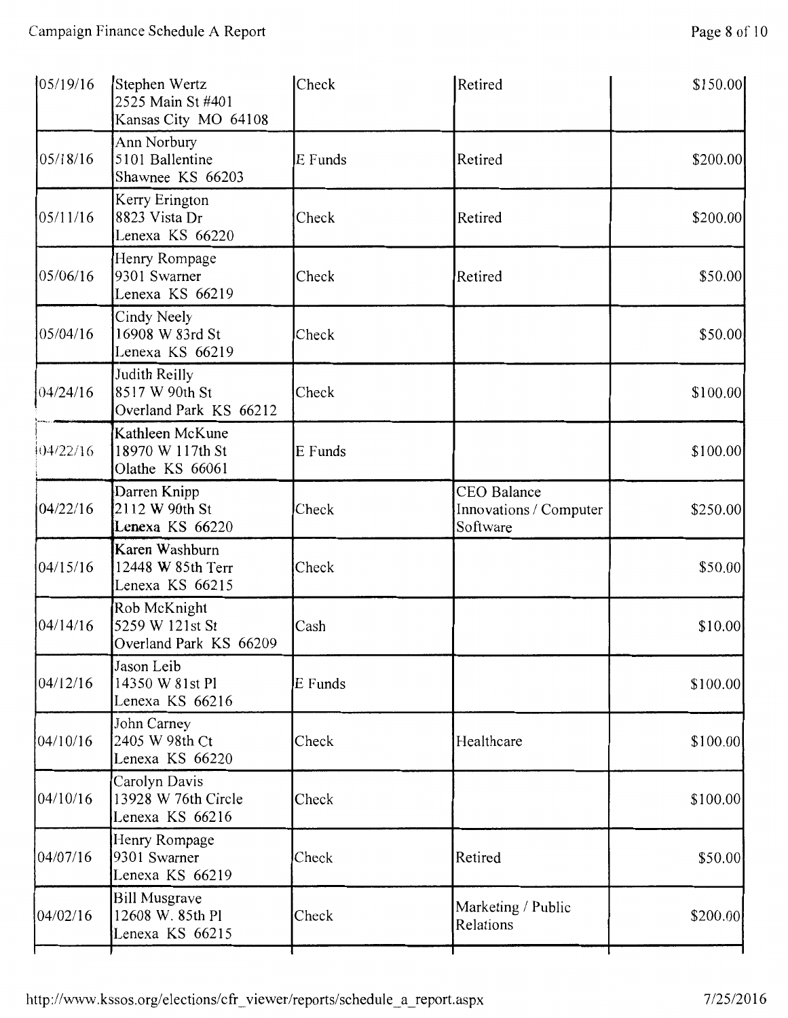| 05/19/16  | Stephen Wertz<br>2525 Main St #401<br>Kansas City MO 64108  | Check   | Retired                                           | \$150.00 |
|-----------|-------------------------------------------------------------|---------|---------------------------------------------------|----------|
| 05/18/16  | Ann Norbury<br>5101 Ballentine<br>Shawnee KS 66203          | E Funds | Retired                                           | \$200.00 |
| 05/11/16  | Kerry Erington<br>8823 Vista Dr<br>Lenexa KS 66220          | Check   | Retired                                           | \$200.00 |
| 05/06/16  | Henry Rompage<br>9301 Swarner<br>Lenexa KS 66219            | Check   | Retired                                           | \$50.00  |
| 05/04/16  | Cindy Neely<br>16908 W 83rd St<br>Lenexa KS 66219           | Check   |                                                   | \$50.00  |
| 04/24/16  | Judith Reilly<br>8517 W 90th St<br>Overland Park KS 66212   | Check   |                                                   | \$100.00 |
| 104/22/16 | Kathleen McKune<br>18970 W 117th St<br>Olathe KS 66061      | E Funds |                                                   | \$100.00 |
| 04/22/16  | Darren Knipp<br>2112 W 90th St<br>Lenexa KS 66220           | Check   | CEO Balance<br>Innovations / Computer<br>Software | \$250.00 |
| 04/15/16  | Karen Washburn<br>12448 W 85th Terr<br>Lenexa KS 66215      | Check   |                                                   | \$50.00  |
| 04/14/16  | Rob McKnight<br>5259 W 121st St<br>Overland Park KS 66209   | Cash    |                                                   | \$10.00  |
| 04/12/16  | Jason Leib<br>14350 W 81st Pl<br>Lenexa KS 66216            | E Funds |                                                   | \$100.00 |
| 04/10/16  | John Carney<br>2405 W 98th Ct<br>Lenexa KS 66220            | Check   | Healthcare                                        | \$100.00 |
| 04/10/16  | Carolyn Davis<br>13928 W 76th Circle<br>Lenexa KS 66216     | Check   |                                                   | \$100.00 |
| 04/07/16  | Henry Rompage<br>9301 Swarner<br>Lenexa KS 66219            | Check   | Retired                                           | \$50.00  |
| 04/02/16  | <b>Bill Musgrave</b><br>12608 W. 85th Pl<br>Lenexa KS 66215 | Check   | Marketing / Public<br>Relations                   | \$200.00 |
|           |                                                             |         |                                                   |          |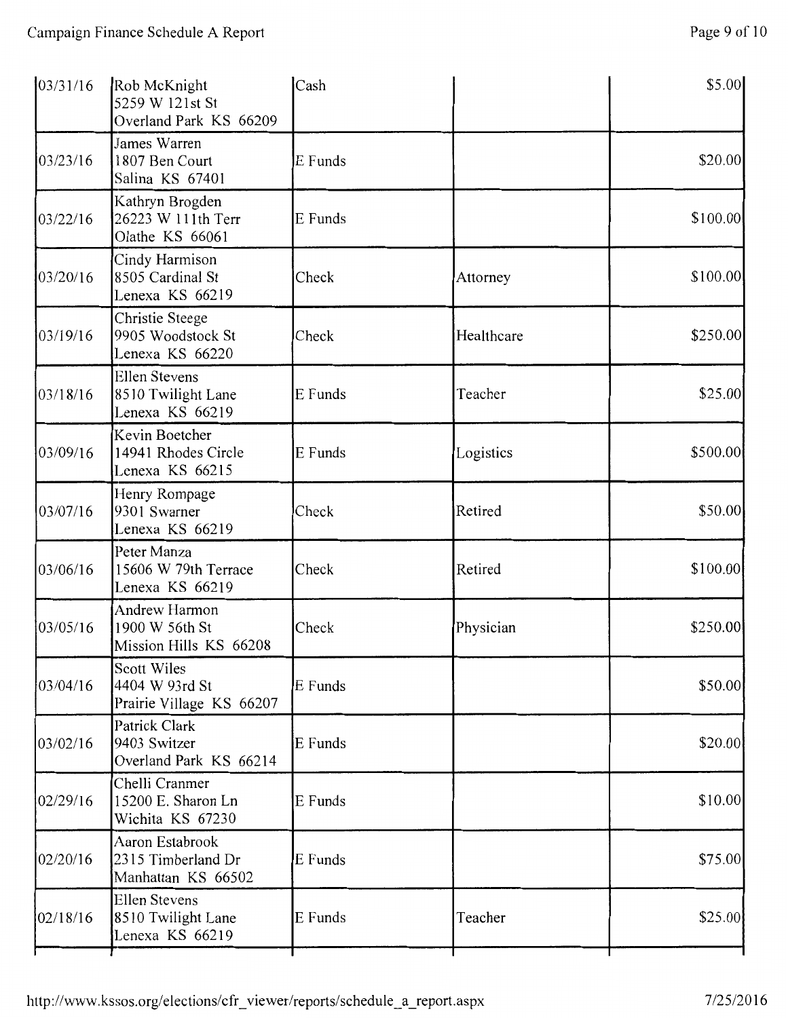| \$20.00   |
|-----------|
| \$100.00] |
| \$100.00  |
| \$250.00  |
| \$25.00   |
| \$500.00  |
| \$50.00   |
| \$100.00] |
| \$250.00  |
| \$50.00   |
| \$20.00   |
| \$10.00   |
| \$75.00   |
| \$25.00   |
|           |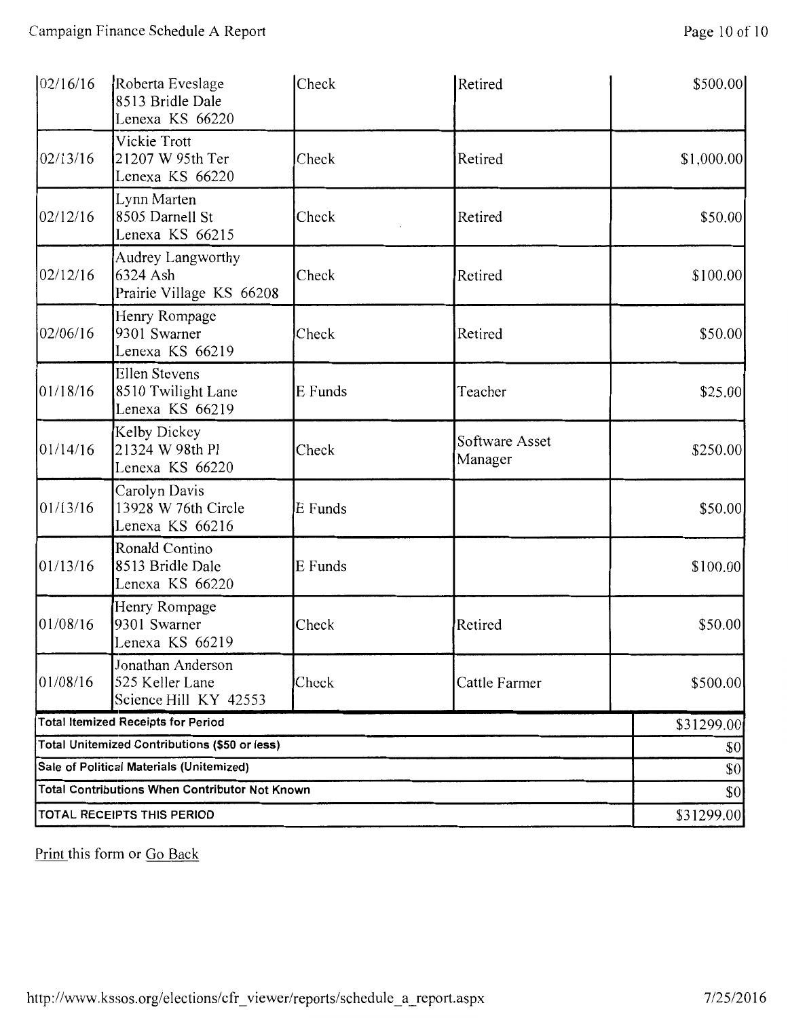| 02/16/16                                              | Roberta Eveslage<br>8513 Bridle Dale<br>Lenexa KS 66220       | Check   | Retired                   | \$500.00   |  |
|-------------------------------------------------------|---------------------------------------------------------------|---------|---------------------------|------------|--|
| 02/13/16                                              | Vickie Trott<br>21207 W 95th Ter<br>Lenexa KS 66220           | Check   | Retired                   | \$1,000.00 |  |
| 02/12/16                                              | Lynn Marten<br>8505 Darnell St<br>Lenexa KS 66215             | Check   | Retired                   | \$50.00    |  |
| 02/12/16                                              | Audrey Langworthy<br>6324 Ash<br>Prairie Village KS 66208     | Check   | Retired                   | \$100.00   |  |
| 02/06/16                                              | Henry Rompage<br>9301 Swarner<br>Lenexa KS 66219              | Check   | Retired                   | \$50.00    |  |
| 01/18/16                                              | <b>Ellen Stevens</b><br>8510 Twilight Lane<br>Lenexa KS 66219 | E Funds | Teacher                   | \$25.00    |  |
| 01/14/16                                              | Kelby Dickey<br>21324 W 98th Pl<br>Lenexa KS 66220            | Check   | Software Asset<br>Manager | \$250.00   |  |
| 01/13/16                                              | Carolyn Davis<br>13928 W 76th Circle<br>Lenexa KS 66216       | E Funds |                           | \$50.00    |  |
| 01/13/16                                              | Ronald Contino<br>8513 Bridle Dale<br>Lenexa KS 66220         | E Funds |                           | \$100.00]  |  |
| 01/08/16                                              | Henry Rompage<br>9301 Swarner<br>Lenexa KS 66219              | Check   | Retired                   | \$50.00    |  |
| 01/08/16                                              | Jonathan Anderson<br>525 Keller Lane<br>Science Hill KY 42553 | Check   | Cattle Farmer             | \$500.00   |  |
|                                                       | <b>Total Itemized Receipts for Period</b>                     |         |                           | \$31299.00 |  |
| Total Unitemized Contributions (\$50 or less)         | \$0                                                           |         |                           |            |  |
| Sale of Political Materials (Unitemized)              | \$0                                                           |         |                           |            |  |
| <b>Total Contributions When Contributor Not Known</b> | \$0<br>\$31299.00                                             |         |                           |            |  |
|                                                       | TOTAL RECEIPTS THIS PERIOD                                    |         |                           |            |  |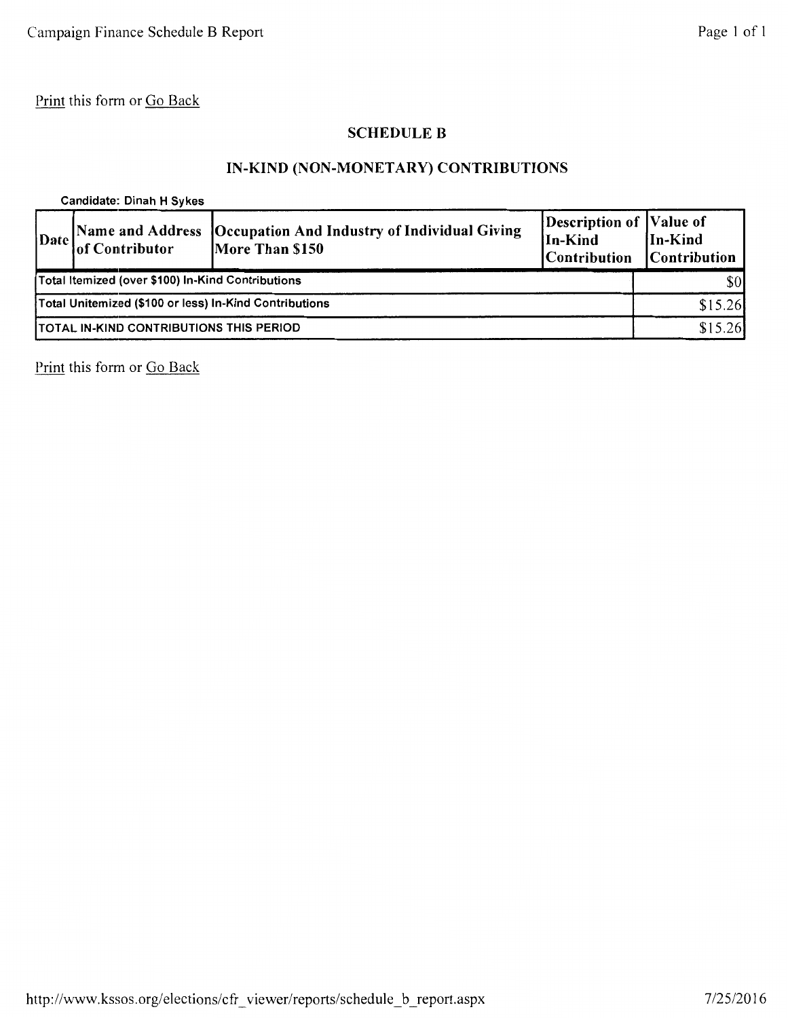### SCHEDULE B

# IN-KIND (NON-MONETARY) CONTRIBUTIONS

Candidate: Dinah H Sykes

|                                                        | Date of Contributor | [Name and Address   Occupation And Industry of Individual Giving<br>More Than \$150 | Description of Value of<br>In-Kind<br><b>Contribution</b> | In-Kind<br><b>Contribution</b> |
|--------------------------------------------------------|---------------------|-------------------------------------------------------------------------------------|-----------------------------------------------------------|--------------------------------|
| Total Itemized (over \$100) In-Kind Contributions      |                     |                                                                                     | \$0                                                       |                                |
| Total Unitemized (\$100 or less) In-Kind Contributions |                     |                                                                                     | \$15.26                                                   |                                |
| <b>TOTAL IN-KIND CONTRIBUTIONS THIS PERIOD</b>         |                     |                                                                                     | \$15.26                                                   |                                |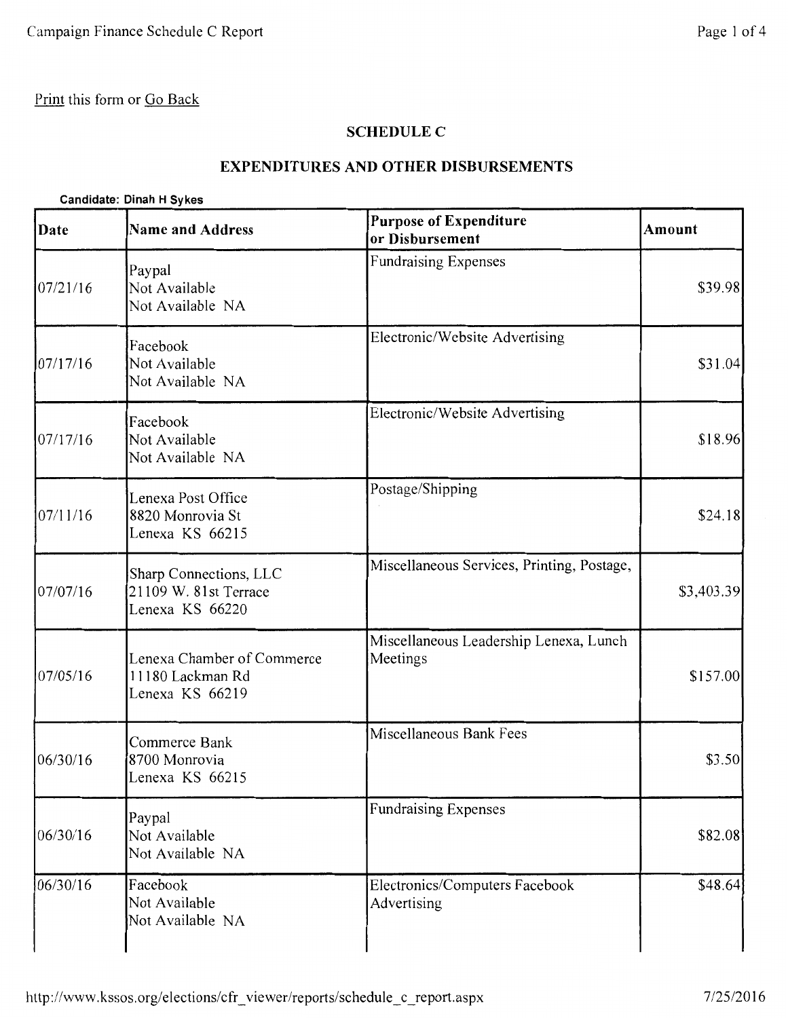#### **SCHEDULE C**

## **EXPENDITURES AND OTHER DISBURSEMENTS**

#### **Candidate: Dinah H Sykes**

| Date     | <b>Name and Address</b>                                            | <b>Purpose of Expenditure</b><br>or Disbursement   | Amount     |
|----------|--------------------------------------------------------------------|----------------------------------------------------|------------|
| 07/21/16 | Paypal<br>Not Available<br>Not Available NA                        | <b>Fundraising Expenses</b>                        | \$39.98    |
| 07/17/16 | Facebook<br>Not Available<br>Not Available NA                      | Electronic/Website Advertising                     | \$31.04    |
| 07/17/16 | Facebook<br>Not Available<br>Not Available NA                      | Electronic/Website Advertising                     | \$18.96    |
| 07/11/16 | Lenexa Post Office<br>8820 Monrovia St<br>Lenexa KS 66215          | Postage/Shipping                                   | \$24.18    |
| 07/07/16 | Sharp Connections, LLC<br>21109 W. 81st Terrace<br>Lenexa KS 66220 | Miscellaneous Services, Printing, Postage,         | \$3,403.39 |
| 07/05/16 | Lenexa Chamber of Commerce<br>11180 Lackman Rd<br>Lenexa KS 66219  | Miscellaneous Leadership Lenexa, Lunch<br>Meetings | \$157.00   |
| 06/30/16 | Commerce Bank<br>8700 Monrovia<br>Lenexa KS 66215                  | Miscellaneous Bank Fees                            | \$3.50     |
| 06/30/16 | Paypal<br>Not Available<br>Not Available NA                        | <b>Fundraising Expenses</b>                        | \$82.08    |
| 06/30/16 | Facebook<br>Not Available<br>Not Available NA                      | Electronics/Computers Facebook<br>Advertising      | \$48.64    |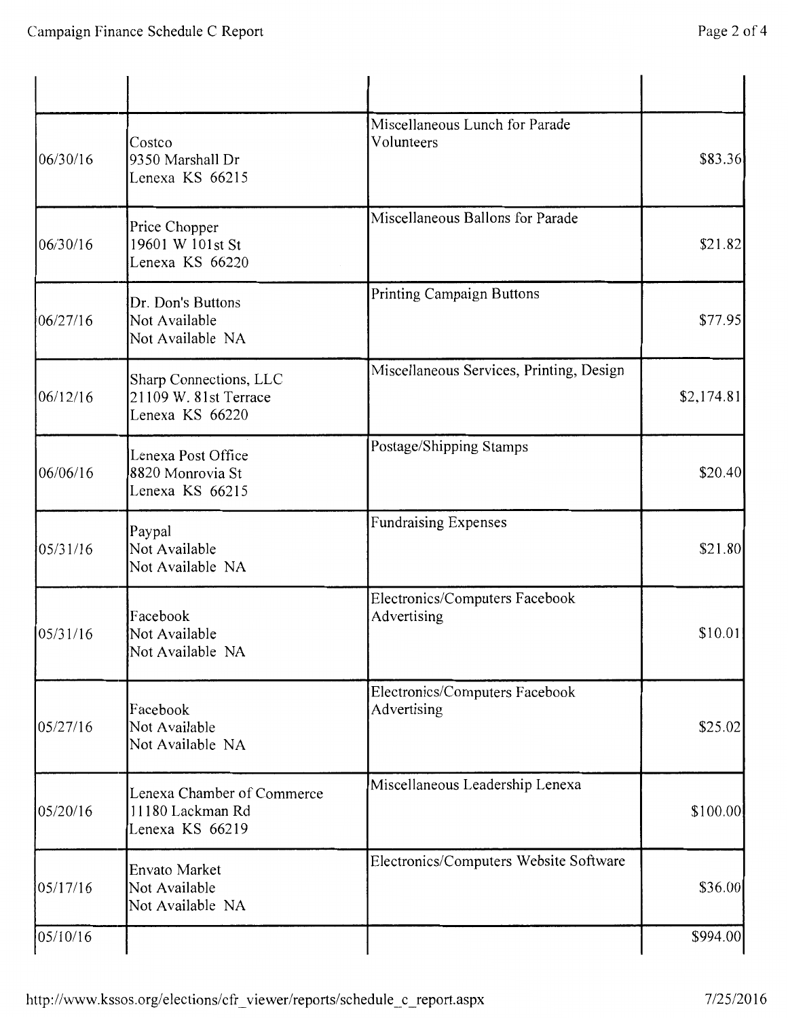| 06/30/16 | Costco<br>9350 Marshall Dr<br>Lenexa KS 66215                      | Miscellaneous Lunch for Parade<br>Volunteers  | \$83.36    |
|----------|--------------------------------------------------------------------|-----------------------------------------------|------------|
| 06/30/16 | Price Chopper<br>19601 W 101st St<br>Lenexa KS 66220               | Miscellaneous Ballons for Parade              | \$21.82    |
| 06/27/16 | Dr. Don's Buttons<br>Not Available<br>Not Available NA             | Printing Campaign Buttons                     | \$77.95    |
| 06/12/16 | Sharp Connections, LLC<br>21109 W. 81st Terrace<br>Lenexa KS 66220 | Miscellaneous Services, Printing, Design      | \$2,174.81 |
| 06/06/16 | Lenexa Post Office<br>8820 Monrovia St<br>Lenexa KS 66215          | Postage/Shipping Stamps                       | \$20.40    |
| 05/31/16 | Paypal<br>Not Available<br>Not Available NA                        | <b>Fundraising Expenses</b>                   | \$21.80    |
| 05/31/16 | Facebook<br>Not Available<br>Not Available NA                      | Electronics/Computers Facebook<br>Advertising | \$10.01    |
| 05/27/16 | Facebook<br>Not Available<br>Not Available NA                      | Electronics/Computers Facebook<br>Advertising | \$25.02    |
| 05/20/16 | Lenexa Chamber of Commerce<br>11180 Lackman Rd<br>Lenexa KS 66219  | Miscellaneous Leadership Lenexa               | \$100.00   |
| 05/17/16 | Envato Market<br>Not Available<br>Not Available NA                 | Electronics/Computers Website Software        | \$36.00    |
| 05/10/16 |                                                                    |                                               | \$994.00   |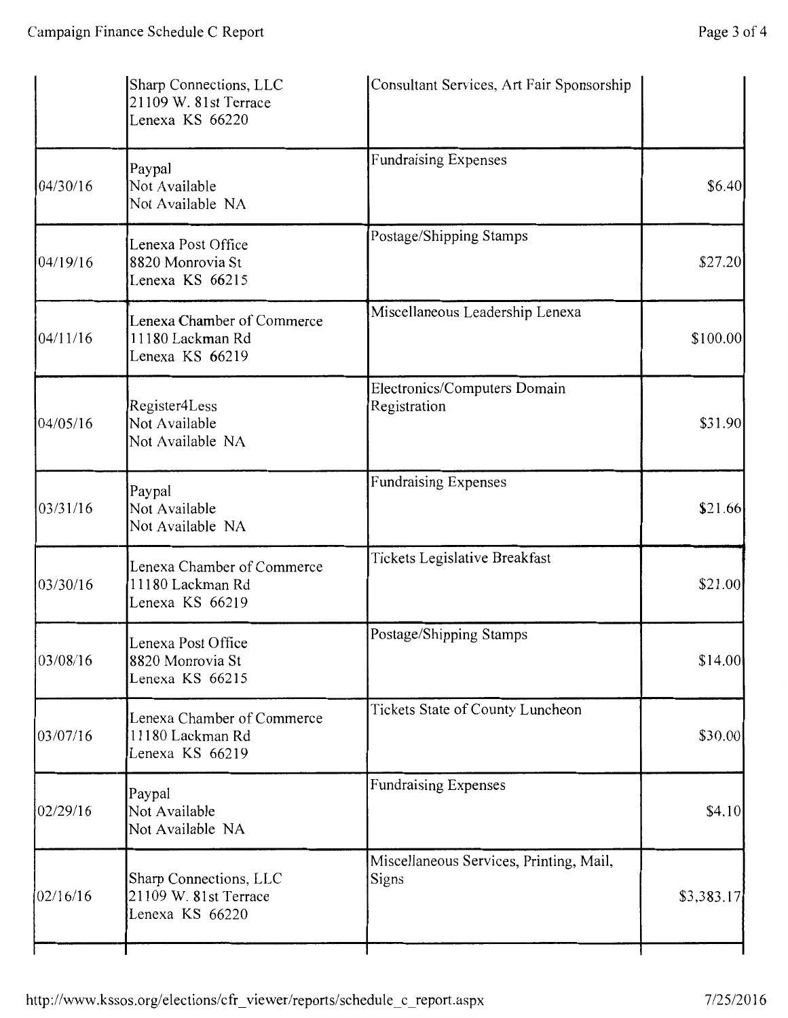|           | Sharp Connections, LLC<br>21109 W. 81st Terrace<br>Lenexa KS 66220 | Consultant Services, Art Fair Sponsorship        |            |
|-----------|--------------------------------------------------------------------|--------------------------------------------------|------------|
| 04/30/16  | Paypal<br>Not Available<br>Not Available NA                        | <b>Fundraising Expenses</b>                      | \$6.40     |
| 04/19/16  | Lenexa Post Office<br>8820 Monrovia St<br>Lenexa KS 66215          | Postage/Shipping Stamps                          | \$27.20    |
| 04/11/16  | Lenexa Chamber of Commerce<br>11180 Lackman Rd<br>Lenexa KS 66219  | Miscellaneous Leadership Lenexa                  | \$100.00]  |
| 104/05/16 | Register4Less<br>Not Available<br>Not Available NA                 | Electronics/Computers Domain<br>Registration     | \$31.90    |
| 03/31/16  | Paypal<br>Not Available<br>Not Available NA                        | <b>Fundraising Expenses</b>                      | \$21.66    |
| 03/30/16  | Lenexa Chamber of Commerce<br>11180 Lackman Rd<br>Lenexa KS 66219  | Tickets Legislative Breakfast                    | \$21.00    |
| 03/08/16  | Lenexa Post Office<br>8820 Monrovia St<br>Lenexa KS 66215          | Postage/Shipping Stamps                          | \$14.00    |
| 03/07/16  | Lenexa Chamber of Commerce<br>11180 Lackman Rd<br>Lenexa KS 66219  | Tickets State of County Luncheon                 | \$30.00    |
| 02/29/16  | Paypal<br>Not Available<br>Not Available NA                        | <b>Fundraising Expenses</b>                      | \$4.10     |
| 02/16/16  | Sharp Connections, LLC<br>21109 W. 81st Terrace<br>Lenexa KS 66220 | Miscellaneous Services, Printing, Mail,<br>Signs | \$3,383.17 |
|           |                                                                    |                                                  |            |